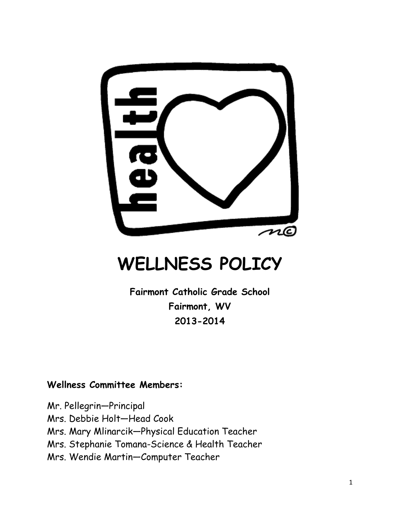

# **WELLNESS POLICY**

**Fairmont Catholic Grade School Fairmont, WV 2013-2014**

## **Wellness Committee Members:**

Mr. Pellegrin—Principal Mrs. Debbie Holt—Head Cook Mrs. Mary Mlinarcik—Physical Education Teacher Mrs. Stephanie Tomana-Science & Health Teacher Mrs. Wendie Martin—Computer Teacher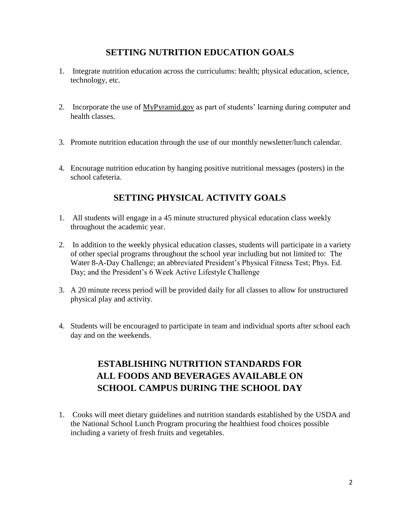#### **SETTING NUTRITION EDUCATION GOALS**

- 1. Integrate nutrition education across the curriculums: health; physical education, science, technology, etc.
- 2. Incorporate the use of MyPyramid.gov as part of students' learning during computer and health classes.
- 3. Promote nutrition education through the use of our monthly newsletter/lunch calendar.
- 4. Encourage nutrition education by hanging positive nutritional messages (posters) in the school cafeteria.

#### **SETTING PHYSICAL ACTIVITY GOALS**

- 1. All students will engage in a 45 minute structured physical education class weekly throughout the academic year.
- 2. In addition to the weekly physical education classes, students will participate in a variety of other special programs throughout the school year including but not limited to: The Water 8-A-Day Challenge; an abbreviated President's Physical Fitness Test; Phys. Ed. Day; and the President's 6 Week Active Lifestyle Challenge
- 3. A 20 minute recess period will be provided daily for all classes to allow for unstructured physical play and activity.
- 4. Students will be encouraged to participate in team and individual sports after school each day and on the weekends.

## **ESTABLISHING NUTRITION STANDARDS FOR ALL FOODS AND BEVERAGES AVAILABLE ON SCHOOL CAMPUS DURING THE SCHOOL DAY**

1. Cooks will meet dietary guidelines and nutrition standards established by the USDA and the National School Lunch Program procuring the healthiest food choices possible including a variety of fresh fruits and vegetables.